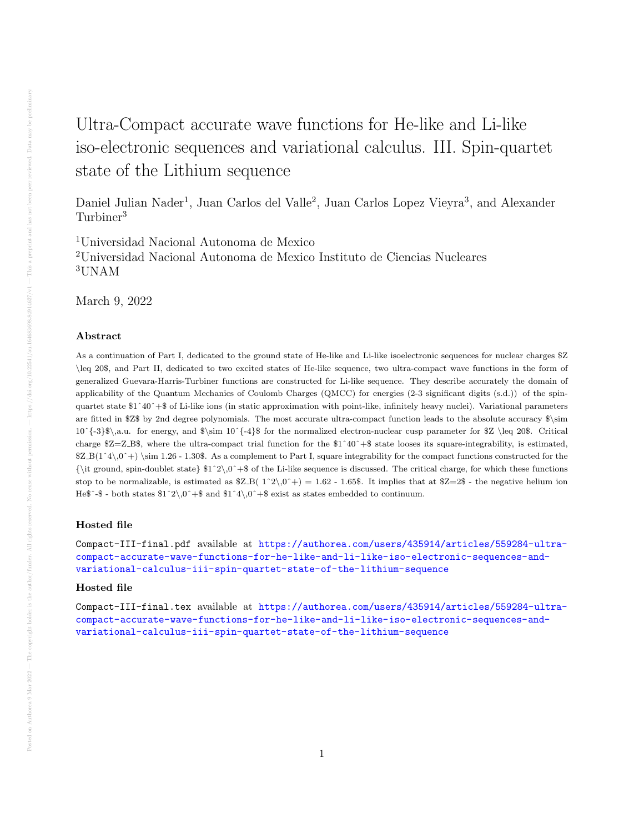## Ultra-Compact accurate wave functions for He-like and Li-like iso-electronic sequences and variational calculus. III. Spin-quartet state of the Lithium sequence

Daniel Julian Nader<sup>1</sup>, Juan Carlos del Valle<sup>2</sup>, Juan Carlos Lopez Vieyra<sup>3</sup>, and Alexander Turbiner<sup>3</sup>

<sup>1</sup>Universidad Nacional Autonoma de Mexico <sup>2</sup>Universidad Nacional Autonoma de Mexico Instituto de Ciencias Nucleares <sup>3</sup>UNAM

March 9, 2022

## Abstract

As a continuation of Part I, dedicated to the ground state of He-like and Li-like isoelectronic sequences for nuclear charges \$Z \leq 20\$, and Part II, dedicated to two excited states of He-like sequence, two ultra-compact wave functions in the form of generalized Guevara-Harris-Turbiner functions are constructed for Li-like sequence. They describe accurately the domain of applicability of the Quantum Mechanics of Coulomb Charges (QMCC) for energies (2-3 significant digits (s.d.)) of the spinquartet state \$1ˆ40ˆ+\$ of Li-like ions (in static approximation with point-like, infinitely heavy nuclei). Variational parameters are fitted in \$Z\$ by 2nd degree polynomials. The most accurate ultra-compact function leads to the absolute accuracy \$\sim  $10^{\{-3\}\}\$ , a.u. for energy, and  $\sim 10^{\{-4\}\}$  for the normalized electron-nuclear cusp parameter for \$Z \leq 20\$. Critical charge  $Z=Z_B$ \$, where the ultra-compact trial function for the  $1^40^+$ \$ state looses its square-integrability, is estimated,  $Z_B(1^4\,0^+)$  \sim 1.26 - 1.30\$. As a complement to Part I, square integrability for the compact functions constructed for the  ${\tilde{\sigma}}$  {\it ground, spin-doublet state}  $1^2\,0^+$ \$ of the Li-like sequence is discussed. The critical charge, for which these functions stop to be normalizable, is estimated as  $Z_B(1^2)\,0^+ = 1.62 - 1.65$ . It implies that at  $Z=2$ \$ - the negative helium ion He $\$ ^-\$ - both states  $1^2\lambda$ ,0 $^+$ \$ and  $1^2\lambda$ ,0 $^+$ \$ exist as states embedded to continuum.

## Hosted file

Compact-III-final.pdf available at [https://authorea.com/users/435914/articles/559284-ultra](https://authorea.com/users/435914/articles/559284-ultra-compact-accurate-wave-functions-for-he-like-and-li-like-iso-electronic-sequences-and-variational-calculus-iii-spin-quartet-state-of-the-lithium-sequence)[compact-accurate-wave-functions-for-he-like-and-li-like-iso-electronic-sequences-and](https://authorea.com/users/435914/articles/559284-ultra-compact-accurate-wave-functions-for-he-like-and-li-like-iso-electronic-sequences-and-variational-calculus-iii-spin-quartet-state-of-the-lithium-sequence)[variational-calculus-iii-spin-quartet-state-of-the-lithium-sequence](https://authorea.com/users/435914/articles/559284-ultra-compact-accurate-wave-functions-for-he-like-and-li-like-iso-electronic-sequences-and-variational-calculus-iii-spin-quartet-state-of-the-lithium-sequence)

## Hosted file

Compact-III-final.tex available at [https://authorea.com/users/435914/articles/559284-ultra](https://authorea.com/users/435914/articles/559284-ultra-compact-accurate-wave-functions-for-he-like-and-li-like-iso-electronic-sequences-and-variational-calculus-iii-spin-quartet-state-of-the-lithium-sequence)[compact-accurate-wave-functions-for-he-like-and-li-like-iso-electronic-sequences-and](https://authorea.com/users/435914/articles/559284-ultra-compact-accurate-wave-functions-for-he-like-and-li-like-iso-electronic-sequences-and-variational-calculus-iii-spin-quartet-state-of-the-lithium-sequence)[variational-calculus-iii-spin-quartet-state-of-the-lithium-sequence](https://authorea.com/users/435914/articles/559284-ultra-compact-accurate-wave-functions-for-he-like-and-li-like-iso-electronic-sequences-and-variational-calculus-iii-spin-quartet-state-of-the-lithium-sequence)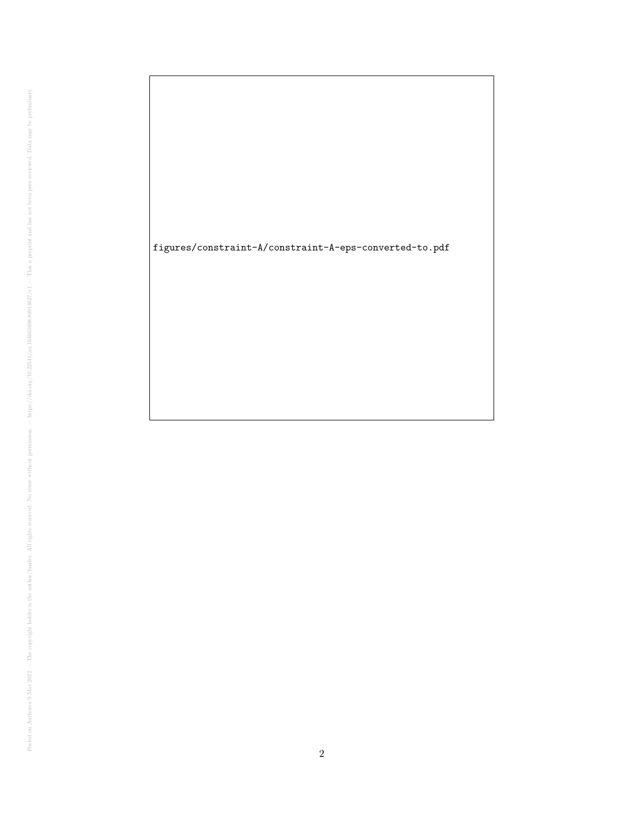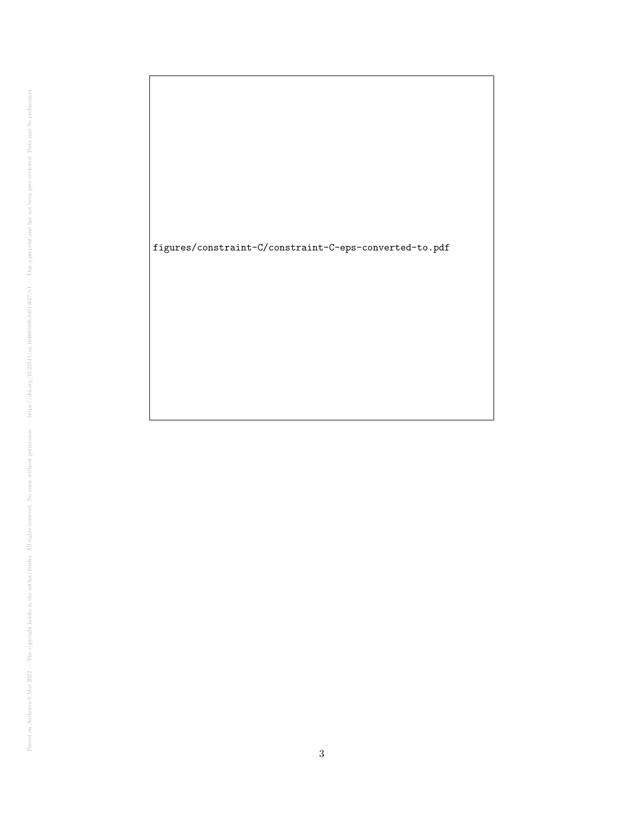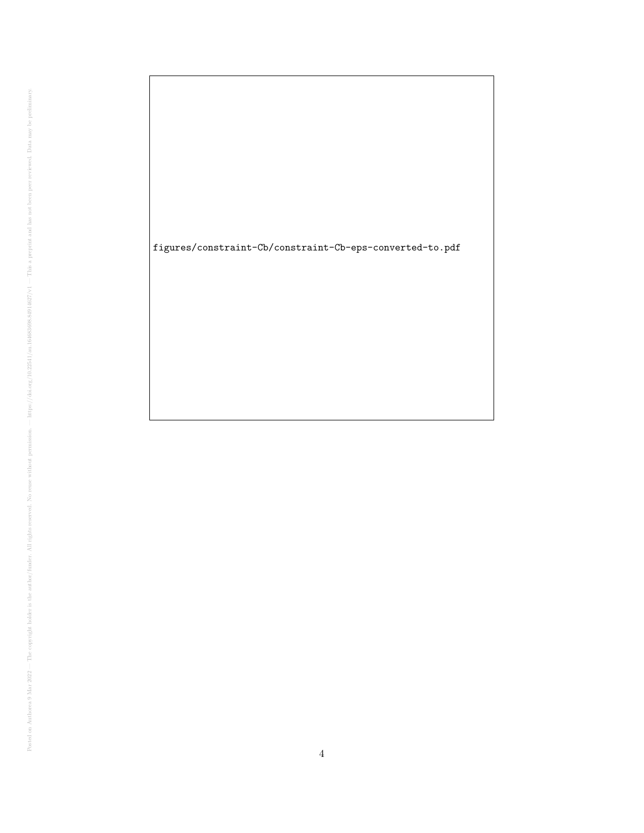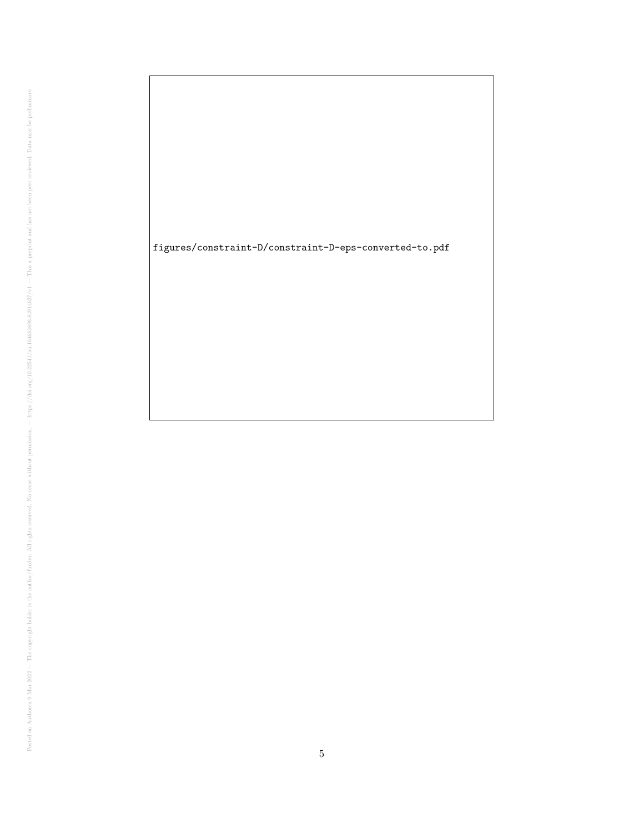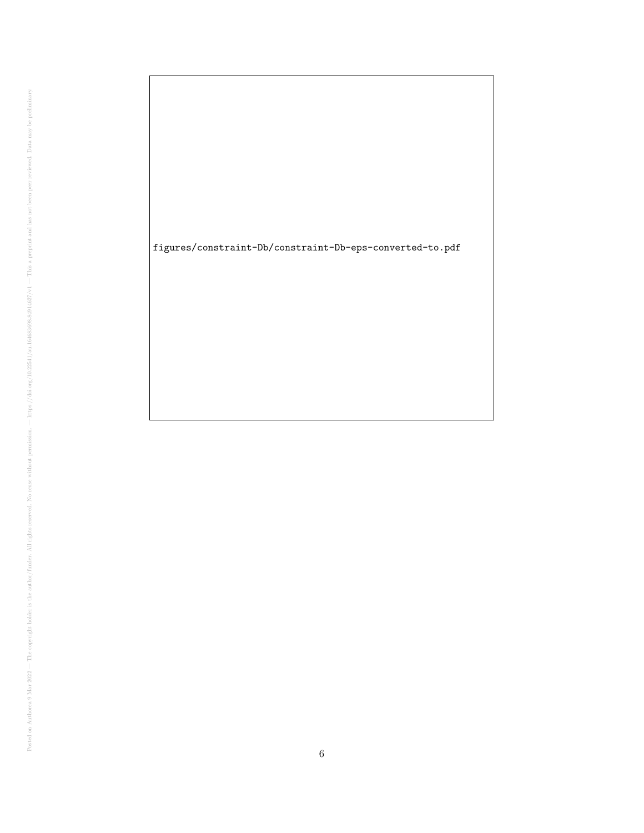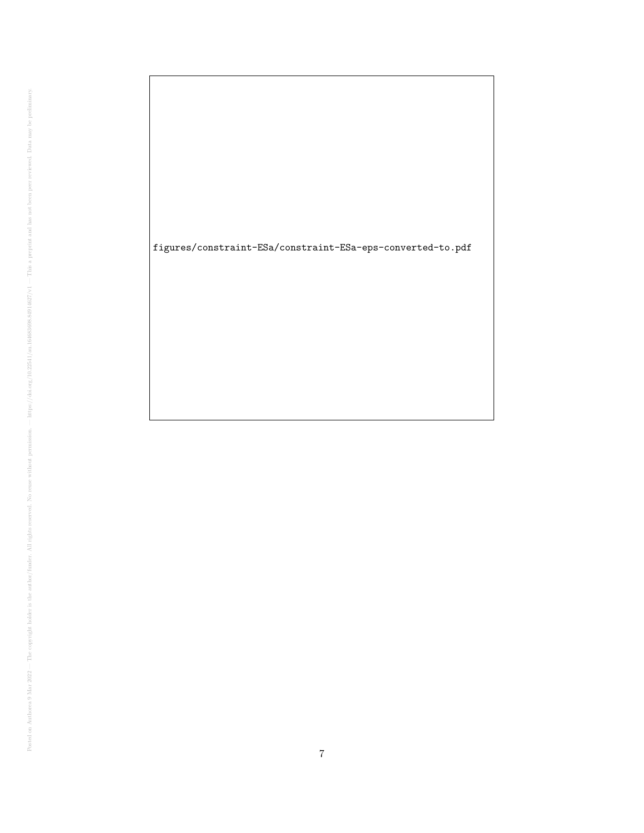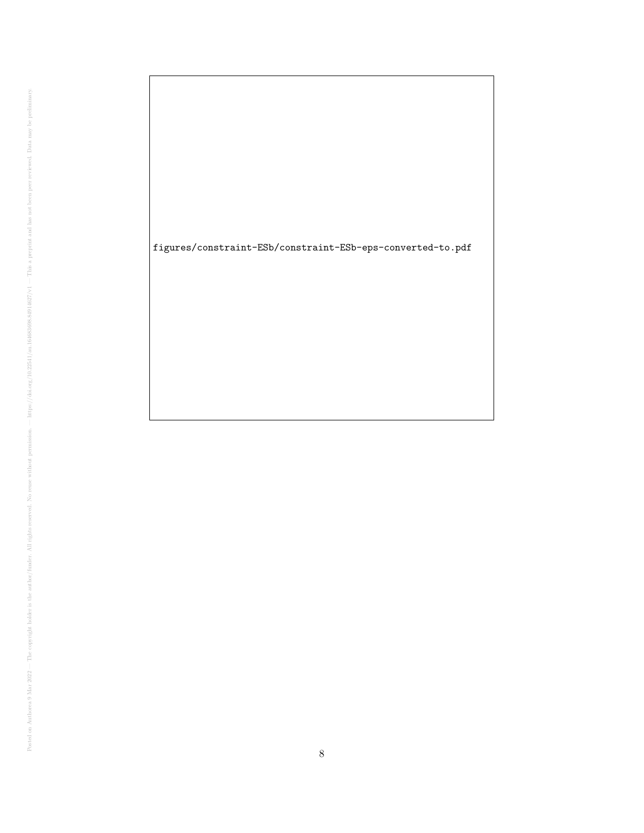